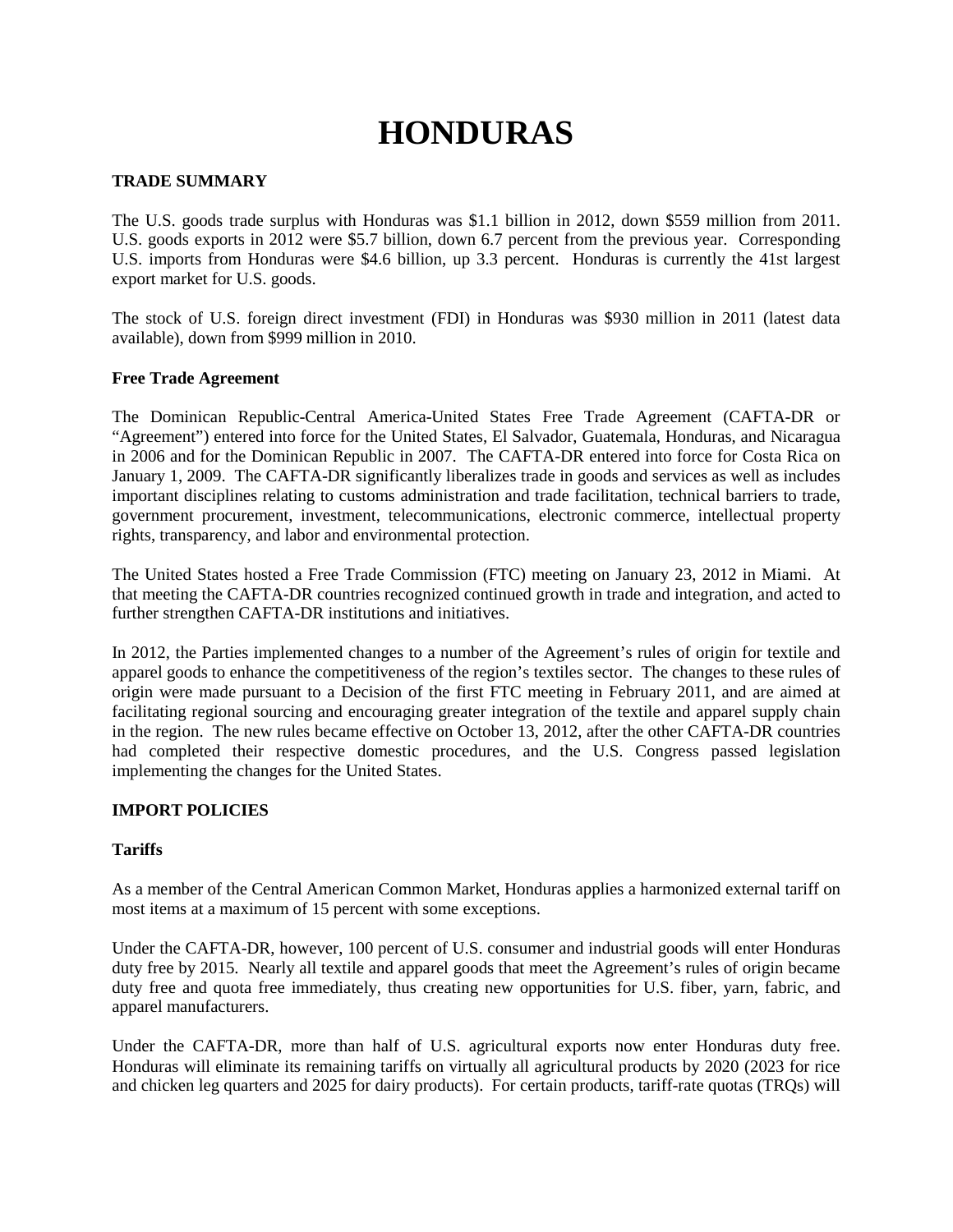# **HONDURAS**

### **TRADE SUMMARY**

The U.S. goods trade surplus with Honduras was \$1.1 billion in 2012, down \$559 million from 2011. U.S. goods exports in 2012 were \$5.7 billion, down 6.7 percent from the previous year. Corresponding U.S. imports from Honduras were \$4.6 billion, up 3.3 percent. Honduras is currently the 41st largest export market for U.S. goods.

The stock of U.S. foreign direct investment (FDI) in Honduras was \$930 million in 2011 (latest data available), down from \$999 million in 2010.

### **Free Trade Agreement**

The Dominican Republic-Central America-United States Free Trade Agreement (CAFTA-DR or "Agreement") entered into force for the United States, El Salvador, Guatemala, Honduras, and Nicaragua in 2006 and for the Dominican Republic in 2007. The CAFTA-DR entered into force for Costa Rica on January 1, 2009. The CAFTA-DR significantly liberalizes trade in goods and services as well as includes important disciplines relating to customs administration and trade facilitation, technical barriers to trade, government procurement, investment, telecommunications, electronic commerce, intellectual property rights, transparency, and labor and environmental protection.

The United States hosted a Free Trade Commission (FTC) meeting on January 23, 2012 in Miami. At that meeting the CAFTA-DR countries recognized continued growth in trade and integration, and acted to further strengthen CAFTA-DR institutions and initiatives.

In 2012, the Parties implemented changes to a number of the Agreement's rules of origin for textile and apparel goods to enhance the competitiveness of the region's textiles sector. The changes to these rules of origin were made pursuant to a Decision of the first FTC meeting in February 2011, and are aimed at facilitating regional sourcing and encouraging greater integration of the textile and apparel supply chain in the region. The new rules became effective on October 13, 2012, after the other CAFTA-DR countries had completed their respective domestic procedures, and the U.S. Congress passed legislation implementing the changes for the United States.

### **IMPORT POLICIES**

### **Tariffs**

As a member of the Central American Common Market, Honduras applies a harmonized external tariff on most items at a maximum of 15 percent with some exceptions.

Under the CAFTA-DR, however, 100 percent of U.S. consumer and industrial goods will enter Honduras duty free by 2015. Nearly all textile and apparel goods that meet the Agreement's rules of origin became duty free and quota free immediately, thus creating new opportunities for U.S. fiber, yarn, fabric, and apparel manufacturers.

Under the CAFTA-DR, more than half of U.S. agricultural exports now enter Honduras duty free. Honduras will eliminate its remaining tariffs on virtually all agricultural products by 2020 (2023 for rice and chicken leg quarters and 2025 for dairy products). For certain products, tariff-rate quotas (TRQs) will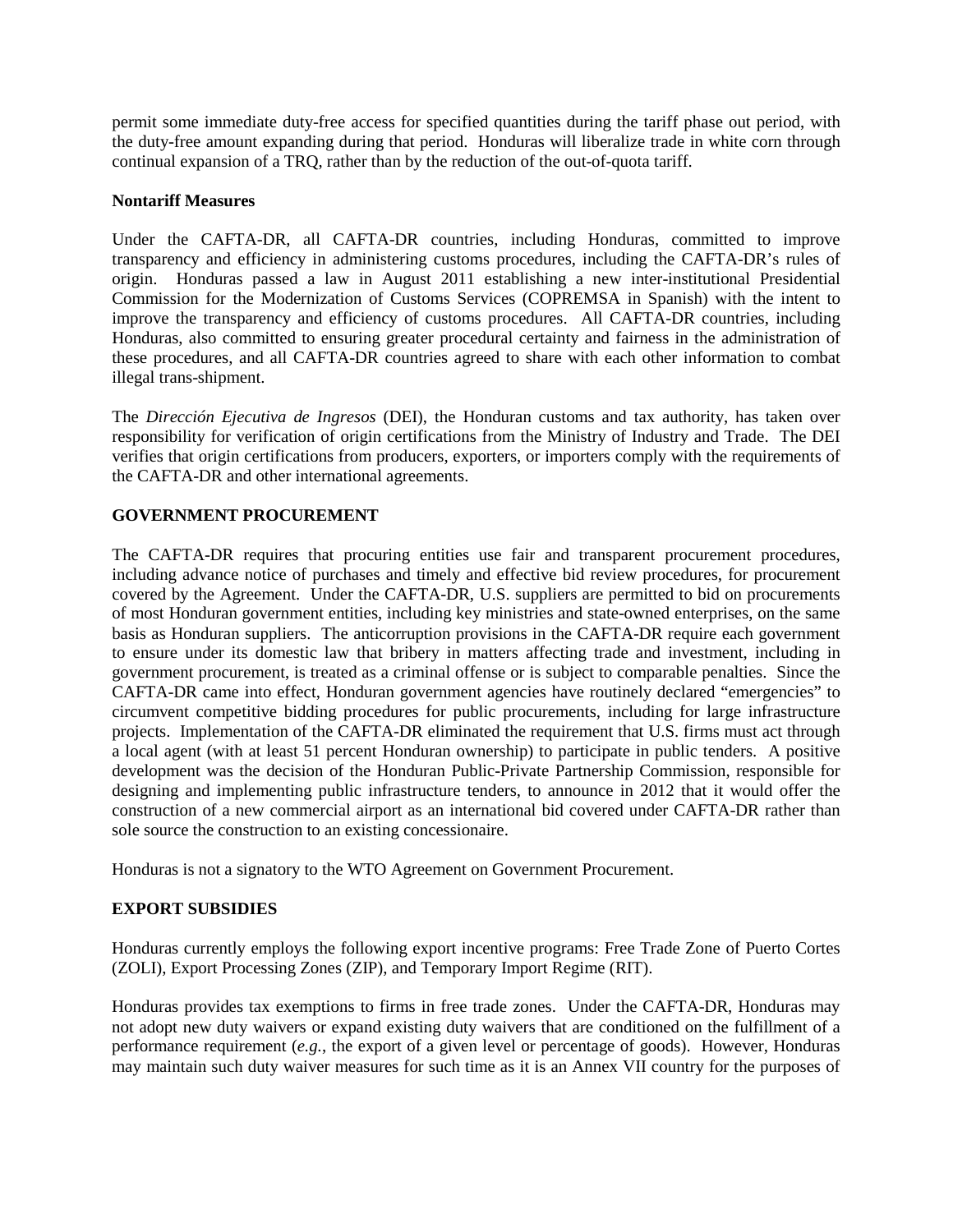permit some immediate duty-free access for specified quantities during the tariff phase out period, with the duty-free amount expanding during that period. Honduras will liberalize trade in white corn through continual expansion of a TRQ, rather than by the reduction of the out-of-quota tariff.

# **Nontariff Measures**

Under the CAFTA-DR, all CAFTA-DR countries, including Honduras, committed to improve transparency and efficiency in administering customs procedures, including the CAFTA-DR's rules of origin. Honduras passed a law in August 2011 establishing a new inter-institutional Presidential Commission for the Modernization of Customs Services (COPREMSA in Spanish) with the intent to improve the transparency and efficiency of customs procedures. All CAFTA-DR countries, including Honduras, also committed to ensuring greater procedural certainty and fairness in the administration of these procedures, and all CAFTA-DR countries agreed to share with each other information to combat illegal trans-shipment.

The *Dirección Ejecutiva de Ingresos* (DEI), the Honduran customs and tax authority, has taken over responsibility for verification of origin certifications from the Ministry of Industry and Trade. The DEI verifies that origin certifications from producers, exporters, or importers comply with the requirements of the CAFTA-DR and other international agreements.

# **GOVERNMENT PROCUREMENT**

The CAFTA-DR requires that procuring entities use fair and transparent procurement procedures, including advance notice of purchases and timely and effective bid review procedures, for procurement covered by the Agreement. Under the CAFTA-DR, U.S. suppliers are permitted to bid on procurements of most Honduran government entities, including key ministries and state-owned enterprises, on the same basis as Honduran suppliers. The anticorruption provisions in the CAFTA-DR require each government to ensure under its domestic law that bribery in matters affecting trade and investment, including in government procurement, is treated as a criminal offense or is subject to comparable penalties. Since the CAFTA-DR came into effect, Honduran government agencies have routinely declared "emergencies" to circumvent competitive bidding procedures for public procurements, including for large infrastructure projects. Implementation of the CAFTA-DR eliminated the requirement that U.S. firms must act through a local agent (with at least 51 percent Honduran ownership) to participate in public tenders. A positive development was the decision of the Honduran Public-Private Partnership Commission, responsible for designing and implementing public infrastructure tenders, to announce in 2012 that it would offer the construction of a new commercial airport as an international bid covered under CAFTA-DR rather than sole source the construction to an existing concessionaire.

Honduras is not a signatory to the WTO Agreement on Government Procurement.

### **EXPORT SUBSIDIES**

Honduras currently employs the following export incentive programs: Free Trade Zone of Puerto Cortes (ZOLI), Export Processing Zones (ZIP), and Temporary Import Regime (RIT).

Honduras provides tax exemptions to firms in free trade zones. Under the CAFTA-DR, Honduras may not adopt new duty waivers or expand existing duty waivers that are conditioned on the fulfillment of a performance requirement (*e.g.*, the export of a given level or percentage of goods). However, Honduras may maintain such duty waiver measures for such time as it is an Annex VII country for the purposes of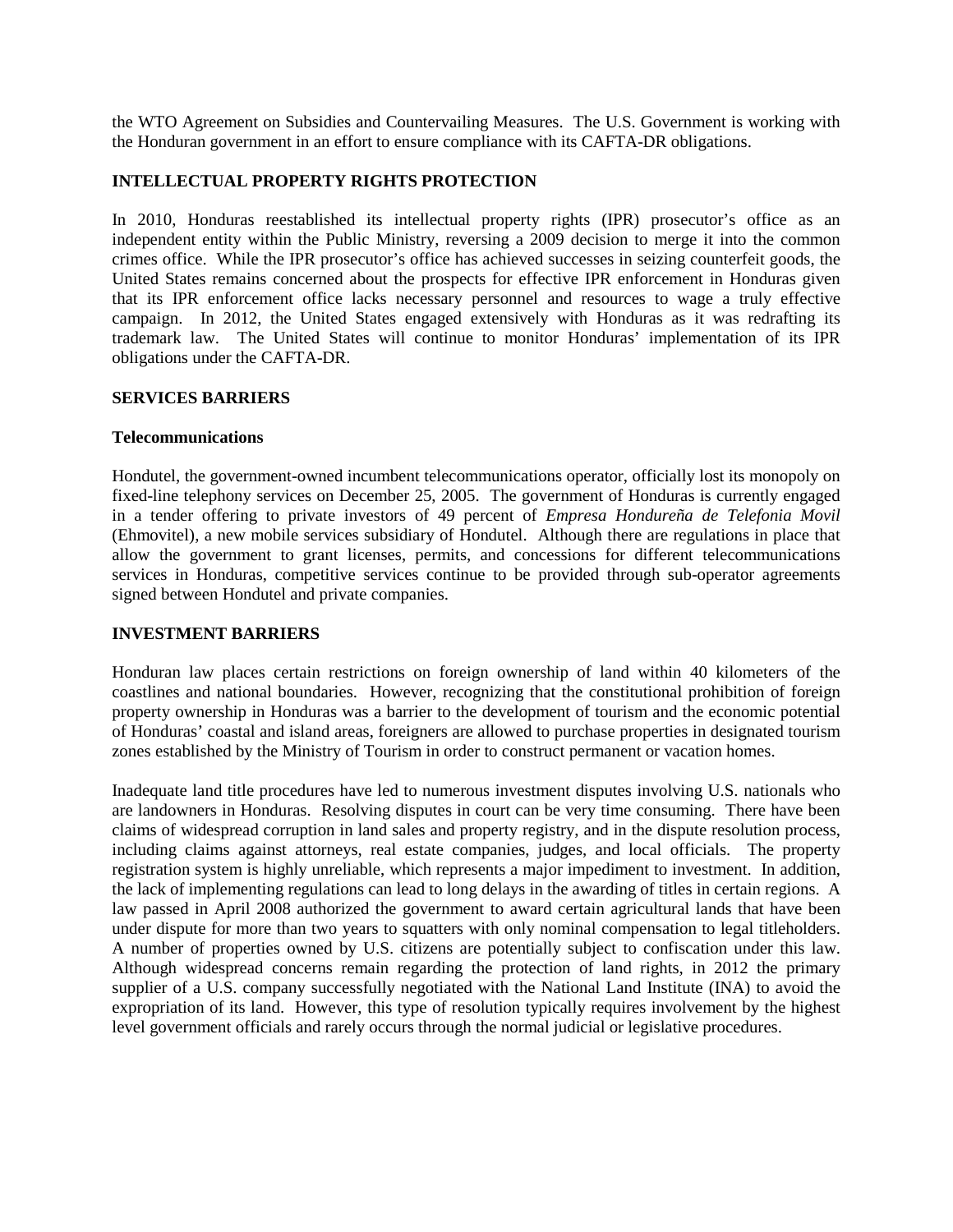the WTO Agreement on Subsidies and Countervailing Measures. The U.S. Government is working with the Honduran government in an effort to ensure compliance with its CAFTA-DR obligations.

# **INTELLECTUAL PROPERTY RIGHTS PROTECTION**

In 2010, Honduras reestablished its intellectual property rights (IPR) prosecutor's office as an independent entity within the Public Ministry, reversing a 2009 decision to merge it into the common crimes office. While the IPR prosecutor's office has achieved successes in seizing counterfeit goods, the United States remains concerned about the prospects for effective IPR enforcement in Honduras given that its IPR enforcement office lacks necessary personnel and resources to wage a truly effective campaign. In 2012, the United States engaged extensively with Honduras as it was redrafting its trademark law. The United States will continue to monitor Honduras' implementation of its IPR obligations under the CAFTA-DR.

### **SERVICES BARRIERS**

### **Telecommunications**

Hondutel, the government-owned incumbent telecommunications operator, officially lost its monopoly on fixed-line telephony services on December 25, 2005. The government of Honduras is currently engaged in a tender offering to private investors of 49 percent of *Empresa Hondureña de Telefonia Movil* (Ehmovitel), a new mobile services subsidiary of Hondutel. Although there are regulations in place that allow the government to grant licenses, permits, and concessions for different telecommunications services in Honduras, competitive services continue to be provided through sub-operator agreements signed between Hondutel and private companies.

### **INVESTMENT BARRIERS**

Honduran law places certain restrictions on foreign ownership of land within 40 kilometers of the coastlines and national boundaries. However, recognizing that the constitutional prohibition of foreign property ownership in Honduras was a barrier to the development of tourism and the economic potential of Honduras' coastal and island areas, foreigners are allowed to purchase properties in designated tourism zones established by the Ministry of Tourism in order to construct permanent or vacation homes.

Inadequate land title procedures have led to numerous investment disputes involving U.S. nationals who are landowners in Honduras. Resolving disputes in court can be very time consuming. There have been claims of widespread corruption in land sales and property registry, and in the dispute resolution process, including claims against attorneys, real estate companies, judges, and local officials. The property registration system is highly unreliable, which represents a major impediment to investment. In addition, the lack of implementing regulations can lead to long delays in the awarding of titles in certain regions. A law passed in April 2008 authorized the government to award certain agricultural lands that have been under dispute for more than two years to squatters with only nominal compensation to legal titleholders. A number of properties owned by U.S. citizens are potentially subject to confiscation under this law. Although widespread concerns remain regarding the protection of land rights, in 2012 the primary supplier of a U.S. company successfully negotiated with the National Land Institute (INA) to avoid the expropriation of its land. However, this type of resolution typically requires involvement by the highest level government officials and rarely occurs through the normal judicial or legislative procedures.